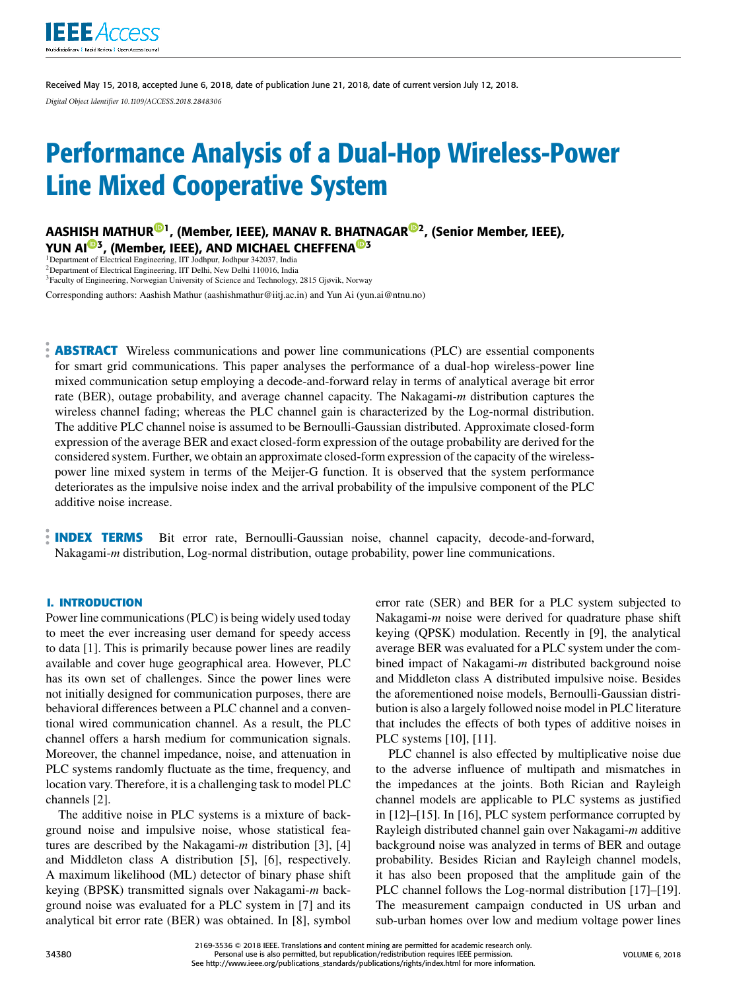

Received May 15, 2018, accepted June 6, 2018, date of publication June 21, 2018, date of current version July 12, 2018. *Digital Object Identifier 10.1109/ACCESS.2018.2848306*

# Performance Analysis of a Dual-Hop Wireless-Power Line Mixed Cooperative System

AASHISH MATHUR<sup>©1</sup>, (Member, IEEE), MANAV R. BHATNAGAR<sup>©2</sup>, (Senior Member, IEEE),  $\rm YUN~Al^{CD3}$ , (Member, IEEE), AND MICHAEL CHEFFENA $^{CD3}$ 

<sup>2</sup>Department of Electrical Engineering, IIT Delhi, New Delhi 110016, India

<sup>3</sup>Faculty of Engineering, Norwegian University of Science and Technology, 2815 Gjøvik, Norway

Corresponding authors: Aashish Mathur (aashishmathur@iitj.ac.in) and Yun Ai (yun.ai@ntnu.no)

**ABSTRACT** Wireless communications and power line communications (PLC) are essential components for smart grid communications. This paper analyses the performance of a dual-hop wireless-power line mixed communication setup employing a decode-and-forward relay in terms of analytical average bit error rate (BER), outage probability, and average channel capacity. The Nakagami-*m* distribution captures the wireless channel fading; whereas the PLC channel gain is characterized by the Log-normal distribution. The additive PLC channel noise is assumed to be Bernoulli-Gaussian distributed. Approximate closed-form expression of the average BER and exact closed-form expression of the outage probability are derived for the considered system. Further, we obtain an approximate closed-form expression of the capacity of the wirelesspower line mixed system in terms of the Meijer-G function. It is observed that the system performance deteriorates as the impulsive noise index and the arrival probability of the impulsive component of the PLC additive noise increase.

**INDEX TERMS** Bit error rate, Bernoulli-Gaussian noise, channel capacity, decode-and-forward, Nakagami-*m* distribution, Log-normal distribution, outage probability, power line communications.

## **I. INTRODUCTION**

Power line communications (PLC) is being widely used today to meet the ever increasing user demand for speedy access to data [1]. This is primarily because power lines are readily available and cover huge geographical area. However, PLC has its own set of challenges. Since the power lines were not initially designed for communication purposes, there are behavioral differences between a PLC channel and a conventional wired communication channel. As a result, the PLC channel offers a harsh medium for communication signals. Moreover, the channel impedance, noise, and attenuation in PLC systems randomly fluctuate as the time, frequency, and location vary. Therefore, it is a challenging task to model PLC channels [2].

The additive noise in PLC systems is a mixture of background noise and impulsive noise, whose statistical features are described by the Nakagami-*m* distribution [3], [4] and Middleton class A distribution [5], [6], respectively. A maximum likelihood (ML) detector of binary phase shift keying (BPSK) transmitted signals over Nakagami-*m* background noise was evaluated for a PLC system in [7] and its analytical bit error rate (BER) was obtained. In [8], symbol error rate (SER) and BER for a PLC system subjected to Nakagami-*m* noise were derived for quadrature phase shift keying (QPSK) modulation. Recently in [9], the analytical average BER was evaluated for a PLC system under the combined impact of Nakagami-*m* distributed background noise and Middleton class A distributed impulsive noise. Besides the aforementioned noise models, Bernoulli-Gaussian distribution is also a largely followed noise model in PLC literature that includes the effects of both types of additive noises in PLC systems [10], [11].

PLC channel is also effected by multiplicative noise due to the adverse influence of multipath and mismatches in the impedances at the joints. Both Rician and Rayleigh channel models are applicable to PLC systems as justified in [12]–[15]. In [16], PLC system performance corrupted by Rayleigh distributed channel gain over Nakagami-*m* additive background noise was analyzed in terms of BER and outage probability. Besides Rician and Rayleigh channel models, it has also been proposed that the amplitude gain of the PLC channel follows the Log-normal distribution [17]–[19]. The measurement campaign conducted in US urban and sub-urban homes over low and medium voltage power lines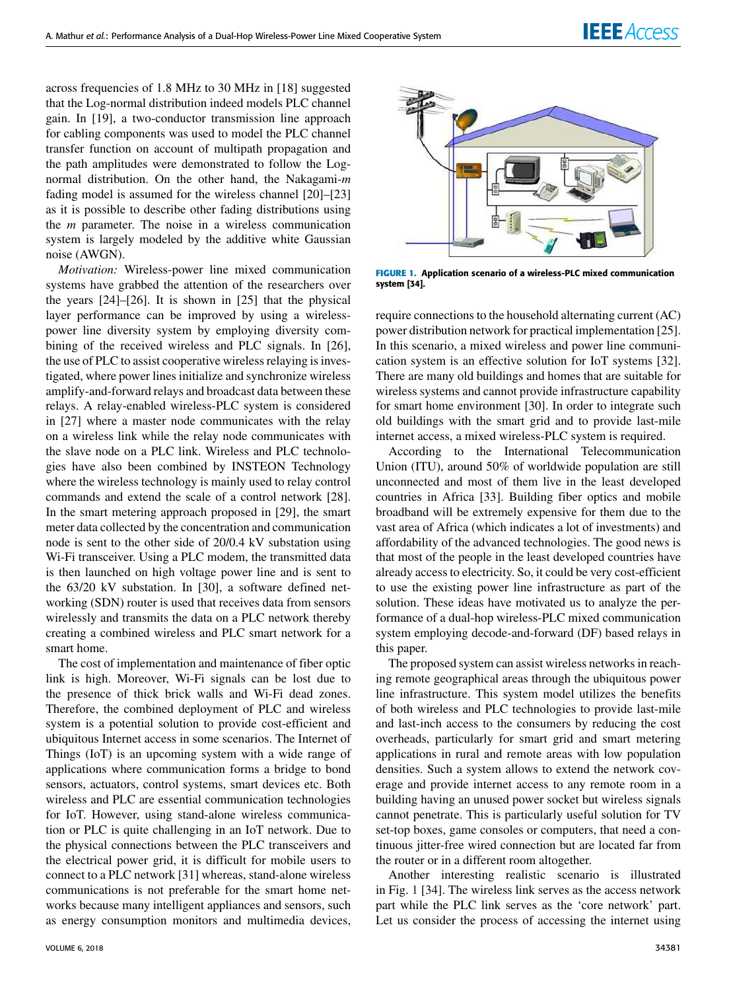across frequencies of 1.8 MHz to 30 MHz in [18] suggested that the Log-normal distribution indeed models PLC channel gain. In [19], a two-conductor transmission line approach for cabling components was used to model the PLC channel transfer function on account of multipath propagation and the path amplitudes were demonstrated to follow the Lognormal distribution. On the other hand, the Nakagami-*m* fading model is assumed for the wireless channel [20]–[23] as it is possible to describe other fading distributions using the *m* parameter. The noise in a wireless communication system is largely modeled by the additive white Gaussian noise (AWGN).

*Motivation:* Wireless-power line mixed communication systems have grabbed the attention of the researchers over the years [24]–[26]. It is shown in [25] that the physical layer performance can be improved by using a wirelesspower line diversity system by employing diversity combining of the received wireless and PLC signals. In [26], the use of PLC to assist cooperative wireless relaying is investigated, where power lines initialize and synchronize wireless amplify-and-forward relays and broadcast data between these relays. A relay-enabled wireless-PLC system is considered in [27] where a master node communicates with the relay on a wireless link while the relay node communicates with the slave node on a PLC link. Wireless and PLC technologies have also been combined by INSTEON Technology where the wireless technology is mainly used to relay control commands and extend the scale of a control network [28]. In the smart metering approach proposed in [29], the smart meter data collected by the concentration and communication node is sent to the other side of 20/0.4 kV substation using Wi-Fi transceiver. Using a PLC modem, the transmitted data is then launched on high voltage power line and is sent to the 63/20 kV substation. In [30], a software defined networking (SDN) router is used that receives data from sensors wirelessly and transmits the data on a PLC network thereby creating a combined wireless and PLC smart network for a smart home.

The cost of implementation and maintenance of fiber optic link is high. Moreover, Wi-Fi signals can be lost due to the presence of thick brick walls and Wi-Fi dead zones. Therefore, the combined deployment of PLC and wireless system is a potential solution to provide cost-efficient and ubiquitous Internet access in some scenarios. The Internet of Things (IoT) is an upcoming system with a wide range of applications where communication forms a bridge to bond sensors, actuators, control systems, smart devices etc. Both wireless and PLC are essential communication technologies for IoT. However, using stand-alone wireless communication or PLC is quite challenging in an IoT network. Due to the physical connections between the PLC transceivers and the electrical power grid, it is difficult for mobile users to connect to a PLC network [31] whereas, stand-alone wireless communications is not preferable for the smart home networks because many intelligent appliances and sensors, such as energy consumption monitors and multimedia devices,



In this scenario, a mixed wireless and power line communication system is an effective solution for IoT systems [32]. There are many old buildings and homes that are suitable for wireless systems and cannot provide infrastructure capability for smart home environment [30]. In order to integrate such old buildings with the smart grid and to provide last-mile internet access, a mixed wireless-PLC system is required.

According to the International Telecommunication Union (ITU), around 50% of worldwide population are still unconnected and most of them live in the least developed countries in Africa [33]. Building fiber optics and mobile broadband will be extremely expensive for them due to the vast area of Africa (which indicates a lot of investments) and affordability of the advanced technologies. The good news is that most of the people in the least developed countries have already access to electricity. So, it could be very cost-efficient to use the existing power line infrastructure as part of the solution. These ideas have motivated us to analyze the performance of a dual-hop wireless-PLC mixed communication system employing decode-and-forward (DF) based relays in this paper.

The proposed system can assist wireless networks in reaching remote geographical areas through the ubiquitous power line infrastructure. This system model utilizes the benefits of both wireless and PLC technologies to provide last-mile and last-inch access to the consumers by reducing the cost overheads, particularly for smart grid and smart metering applications in rural and remote areas with low population densities. Such a system allows to extend the network coverage and provide internet access to any remote room in a building having an unused power socket but wireless signals cannot penetrate. This is particularly useful solution for TV set-top boxes, game consoles or computers, that need a continuous jitter-free wired connection but are located far from the router or in a different room altogether.

Another interesting realistic scenario is illustrated in Fig. 1 [34]. The wireless link serves as the access network part while the PLC link serves as the 'core network' part. Let us consider the process of accessing the internet using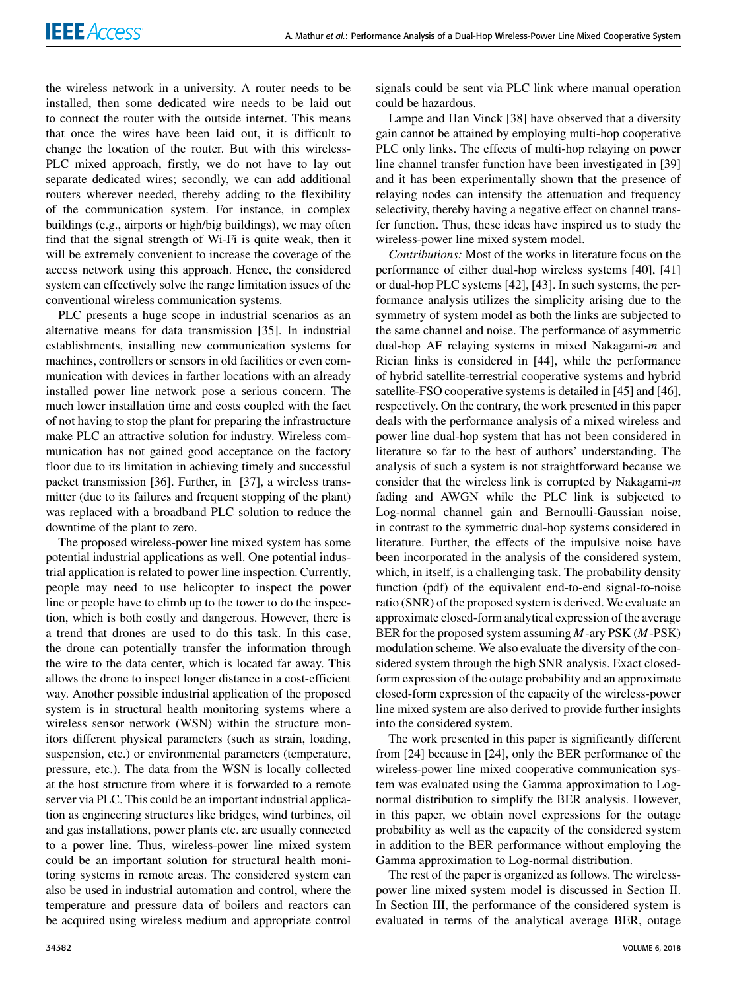the wireless network in a university. A router needs to be installed, then some dedicated wire needs to be laid out to connect the router with the outside internet. This means that once the wires have been laid out, it is difficult to change the location of the router. But with this wireless-PLC mixed approach, firstly, we do not have to lay out separate dedicated wires; secondly, we can add additional routers wherever needed, thereby adding to the flexibility of the communication system. For instance, in complex buildings (e.g., airports or high/big buildings), we may often find that the signal strength of Wi-Fi is quite weak, then it will be extremely convenient to increase the coverage of the access network using this approach. Hence, the considered system can effectively solve the range limitation issues of the conventional wireless communication systems.

PLC presents a huge scope in industrial scenarios as an alternative means for data transmission [35]. In industrial establishments, installing new communication systems for machines, controllers or sensors in old facilities or even communication with devices in farther locations with an already installed power line network pose a serious concern. The much lower installation time and costs coupled with the fact of not having to stop the plant for preparing the infrastructure make PLC an attractive solution for industry. Wireless communication has not gained good acceptance on the factory floor due to its limitation in achieving timely and successful packet transmission [36]. Further, in [37], a wireless transmitter (due to its failures and frequent stopping of the plant) was replaced with a broadband PLC solution to reduce the downtime of the plant to zero.

The proposed wireless-power line mixed system has some potential industrial applications as well. One potential industrial application is related to power line inspection. Currently, people may need to use helicopter to inspect the power line or people have to climb up to the tower to do the inspection, which is both costly and dangerous. However, there is a trend that drones are used to do this task. In this case, the drone can potentially transfer the information through the wire to the data center, which is located far away. This allows the drone to inspect longer distance in a cost-efficient way. Another possible industrial application of the proposed system is in structural health monitoring systems where a wireless sensor network (WSN) within the structure monitors different physical parameters (such as strain, loading, suspension, etc.) or environmental parameters (temperature, pressure, etc.). The data from the WSN is locally collected at the host structure from where it is forwarded to a remote server via PLC. This could be an important industrial application as engineering structures like bridges, wind turbines, oil and gas installations, power plants etc. are usually connected to a power line. Thus, wireless-power line mixed system could be an important solution for structural health monitoring systems in remote areas. The considered system can also be used in industrial automation and control, where the temperature and pressure data of boilers and reactors can be acquired using wireless medium and appropriate control

signals could be sent via PLC link where manual operation could be hazardous.

Lampe and Han Vinck [38] have observed that a diversity gain cannot be attained by employing multi-hop cooperative PLC only links. The effects of multi-hop relaying on power line channel transfer function have been investigated in [39] and it has been experimentally shown that the presence of relaying nodes can intensify the attenuation and frequency selectivity, thereby having a negative effect on channel transfer function. Thus, these ideas have inspired us to study the wireless-power line mixed system model.

*Contributions:* Most of the works in literature focus on the performance of either dual-hop wireless systems [40], [41] or dual-hop PLC systems [42], [43]. In such systems, the performance analysis utilizes the simplicity arising due to the symmetry of system model as both the links are subjected to the same channel and noise. The performance of asymmetric dual-hop AF relaying systems in mixed Nakagami-*m* and Rician links is considered in [44], while the performance of hybrid satellite-terrestrial cooperative systems and hybrid satellite-FSO cooperative systems is detailed in [45] and [46], respectively. On the contrary, the work presented in this paper deals with the performance analysis of a mixed wireless and power line dual-hop system that has not been considered in literature so far to the best of authors' understanding. The analysis of such a system is not straightforward because we consider that the wireless link is corrupted by Nakagami-*m* fading and AWGN while the PLC link is subjected to Log-normal channel gain and Bernoulli-Gaussian noise, in contrast to the symmetric dual-hop systems considered in literature. Further, the effects of the impulsive noise have been incorporated in the analysis of the considered system, which, in itself, is a challenging task. The probability density function (pdf) of the equivalent end-to-end signal-to-noise ratio (SNR) of the proposed system is derived. We evaluate an approximate closed-form analytical expression of the average BER for the proposed system assuming *M*-ary PSK (*M*-PSK) modulation scheme. We also evaluate the diversity of the considered system through the high SNR analysis. Exact closedform expression of the outage probability and an approximate closed-form expression of the capacity of the wireless-power line mixed system are also derived to provide further insights into the considered system.

The work presented in this paper is significantly different from [24] because in [24], only the BER performance of the wireless-power line mixed cooperative communication system was evaluated using the Gamma approximation to Lognormal distribution to simplify the BER analysis. However, in this paper, we obtain novel expressions for the outage probability as well as the capacity of the considered system in addition to the BER performance without employing the Gamma approximation to Log-normal distribution.

The rest of the paper is organized as follows. The wirelesspower line mixed system model is discussed in Section II. In Section III, the performance of the considered system is evaluated in terms of the analytical average BER, outage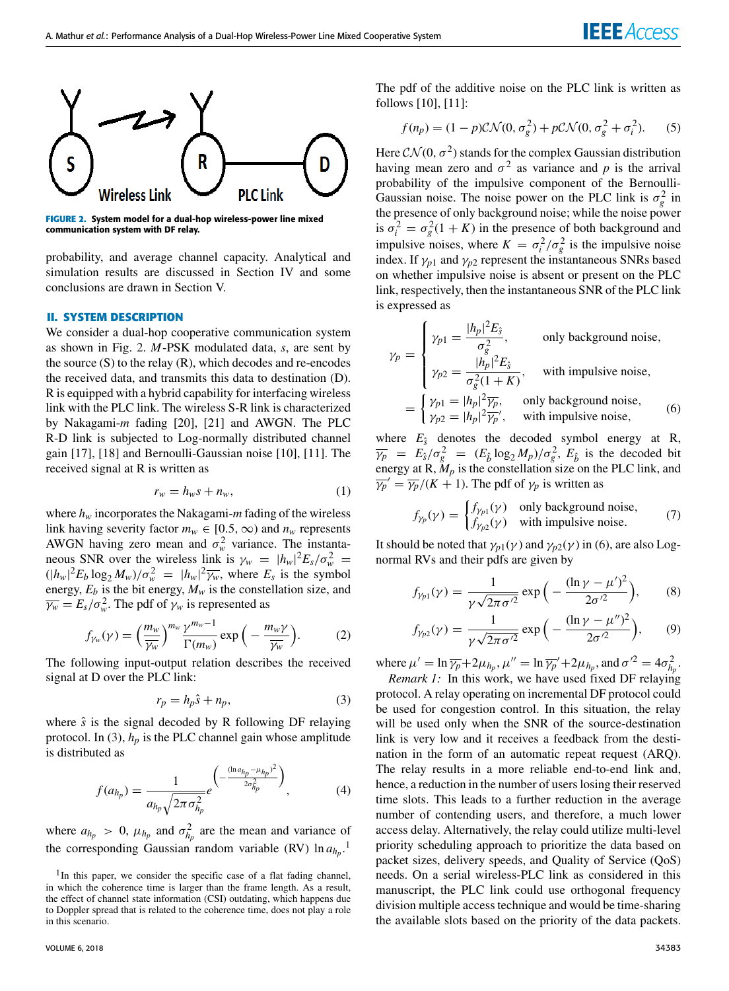

**FIGURE 2.** System model for a dual-hop wireless-power line mixed communication system with DF relay.

probability, and average channel capacity. Analytical and simulation results are discussed in Section IV and some conclusions are drawn in Section V.

## **II. SYSTEM DESCRIPTION**

We consider a dual-hop cooperative communication system as shown in Fig. 2. *M*-PSK modulated data, *s*, are sent by the source  $(S)$  to the relay  $(R)$ , which decodes and re-encodes the received data, and transmits this data to destination (D). R is equipped with a hybrid capability for interfacing wireless link with the PLC link. The wireless S-R link is characterized by Nakagami-*m* fading [20], [21] and AWGN. The PLC R-D link is subjected to Log-normally distributed channel gain [17], [18] and Bernoulli-Gaussian noise [10], [11]. The received signal at R is written as

$$
r_w = h_w s + n_w,\tag{1}
$$

where  $h_w$  incorporates the Nakagami- $m$  fading of the wireless link having severity factor  $m_w \in [0.5, \infty)$  and  $n_w$  represents AWGN having zero mean and  $\sigma_w^2$  variance. The instantaneous SNR over the wireless link is  $\gamma_w = |h_w|^2 E_s / \sigma_w^2 =$  $(|h_w|^2 E_b \log_2 M_w)/\sigma_w^2 = |h_w|^2 \overline{\gamma_w}$ , where  $E_s$  is the symbol energy,  $E_b$  is the bit energy,  $M_w$  is the constellation size, and  $\overline{\gamma_w} = E_s / \sigma_w^2$ . The pdf of  $\gamma_w$  is represented as

$$
f_{\gamma_w}(\gamma) = \left(\frac{m_w}{\overline{\gamma_w}}\right)^{m_w} \frac{\gamma^{m_w - 1}}{\Gamma(m_w)} \exp\left(-\frac{m_w \gamma}{\overline{\gamma_w}}\right). \tag{2}
$$

The following input-output relation describes the received signal at D over the PLC link:

$$
r_p = h_p \hat{s} + n_p,\tag{3}
$$

where  $\hat{s}$  is the signal decoded by R following DF relaying protocol. In (3),  $h_p$  is the PLC channel gain whose amplitude is distributed as

$$
f(a_{h_p}) = \frac{1}{a_{h_p}\sqrt{2\pi\sigma_{h_p}^2}}e^{-\frac{(\ln a_{h_p} - \mu_{h_p})^2}{2\sigma_{h_p}^2}}\bigg),\tag{4}
$$

where  $a_{h_p} > 0$ ,  $\mu_{h_p}$  and  $\sigma_{h_p}^2$  are the mean and variance of the corresponding Gaussian random variable (RV)  $\ln a_{h_p}$ .<sup>1</sup>

The pdf of the additive noise on the PLC link is written as follows [10], [11]:

$$
f(n_p) = (1 - p)\mathcal{CN}(0, \sigma_g^2) + p\mathcal{CN}(0, \sigma_g^2 + \sigma_i^2). \tag{5}
$$

Here  $CN(0, \sigma^2)$  stands for the complex Gaussian distribution having mean zero and  $\sigma^2$  as variance and p is the arrival probability of the impulsive component of the Bernoulli-Gaussian noise. The noise power on the PLC link is  $\sigma_g^2$  in the presence of only background noise; while the noise power is  $\sigma_i^2 = \sigma_g^2(1 + K)$  in the presence of both background and impulsive noises, where  $K = \sigma_i^2/\sigma_g^2$  is the impulsive noise index. If  $\gamma_{p1}$  and  $\gamma_{p2}$  represent the instantaneous SNRs based on whether impulsive noise is absent or present on the PLC link, respectively, then the instantaneous SNR of the PLC link is expressed as

$$
\gamma_p = \begin{cases}\n\gamma_{p1} = \frac{|h_p|^2 E_{\hat{s}}}{\sigma_g^2}, & \text{only background noise,} \\
\gamma_{p2} = \frac{|h_p|^2 E_{\hat{s}}}{\sigma_g^2 (1+K)}, & \text{with impulsive noise,} \\
\gamma_{p1} = |h_p|^2 \overline{\gamma_p}, & \text{only background noise,} \\
\gamma_{p2} = |h_p|^2 \overline{\gamma_p}', & \text{with impulsive noise,} \\
\end{cases}
$$
\n(6)

where  $E_{\hat{s}}$  denotes the decoded symbol energy at R,  $\overline{\gamma_p}$  =  $E_{\hat{s}}/\sigma_g^2$  =  $(E_{\hat{b}} \log_2 M_p)/\sigma_g^2$ ,  $E_{\hat{b}}$  is the decoded bit energy at R,  $M_p$  is the constellation size on the PLC link, and  $\overline{\gamma_p}' = \overline{\gamma_p}/(K+1)$ . The pdf of  $\gamma_p$  is written as

$$
f_{\gamma_p}(\gamma) = \begin{cases} f_{\gamma_{p1}}(\gamma) & \text{only background noise,} \\ f_{\gamma_{p2}}(\gamma) & \text{with impulsive noise.} \end{cases}
$$
 (7)

It should be noted that  $\gamma_{p1}(\gamma)$  and  $\gamma_{p2}(\gamma)$  in (6), are also Lognormal RVs and their pdfs are given by

$$
f_{\gamma_{p1}}(\gamma) = \frac{1}{\gamma \sqrt{2\pi \sigma'^2}} \exp\left(-\frac{(\ln \gamma - \mu')^2}{2\sigma'^2}\right),\qquad(8)
$$

$$
f_{\gamma_{p2}}(\gamma) = \frac{1}{\gamma \sqrt{2\pi \sigma'^2}} \exp\left(-\frac{(\ln \gamma - \mu'')^2}{2\sigma'^2}\right),\qquad(9)
$$

where  $\mu' = \ln \overline{\gamma_p} + 2\mu_{h_p}, \mu'' = \ln \overline{\gamma_p}' + 2\mu_{h_p}, \text{and } \sigma'^2 = 4\sigma_{h_p}^2$ .

*Remark 1:* In this work, we have used fixed DF relaying protocol. A relay operating on incremental DF protocol could be used for congestion control. In this situation, the relay will be used only when the SNR of the source-destination link is very low and it receives a feedback from the destination in the form of an automatic repeat request (ARQ). The relay results in a more reliable end-to-end link and, hence, a reduction in the number of users losing their reserved time slots. This leads to a further reduction in the average number of contending users, and therefore, a much lower access delay. Alternatively, the relay could utilize multi-level priority scheduling approach to prioritize the data based on packet sizes, delivery speeds, and Quality of Service (QoS) needs. On a serial wireless-PLC link as considered in this manuscript, the PLC link could use orthogonal frequency division multiple access technique and would be time-sharing the available slots based on the priority of the data packets.

<sup>&</sup>lt;sup>1</sup>In this paper, we consider the specific case of a flat fading channel, in which the coherence time is larger than the frame length. As a result, the effect of channel state information (CSI) outdating, which happens due to Doppler spread that is related to the coherence time, does not play a role in this scenario.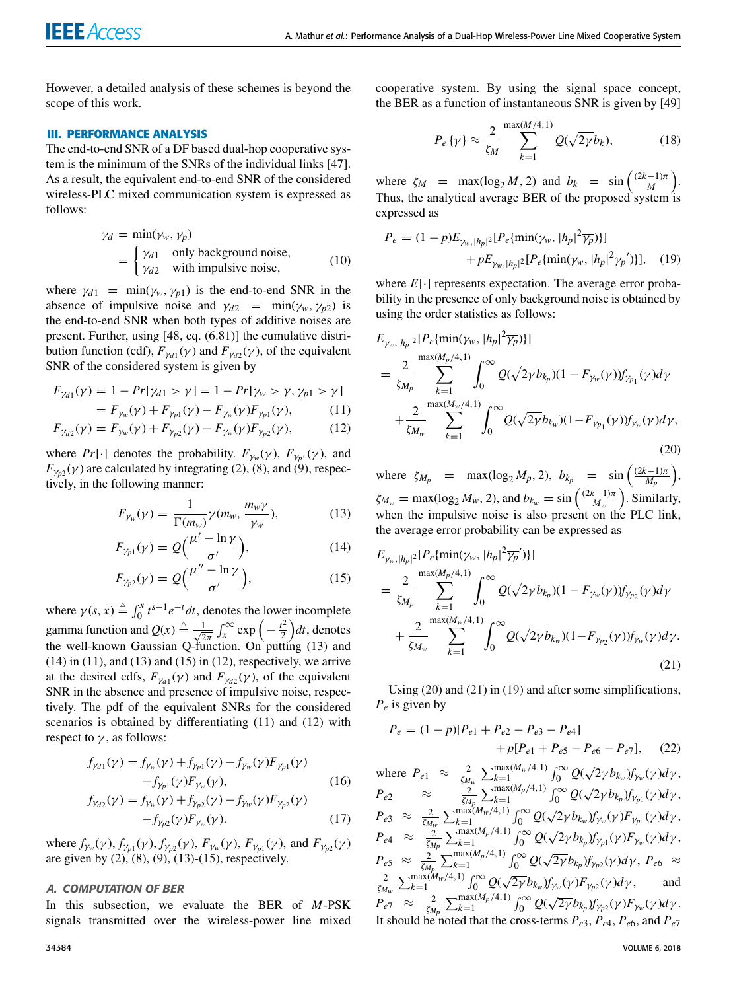However, a detailed analysis of these schemes is beyond the scope of this work.

## **III. PERFORMANCE ANALYSIS**

The end-to-end SNR of a DF based dual-hop cooperative system is the minimum of the SNRs of the individual links [47]. As a result, the equivalent end-to-end SNR of the considered wireless-PLC mixed communication system is expressed as follows:

$$
\gamma_d = \min(\gamma_w, \gamma_p)
$$
  
= 
$$
\begin{cases} \gamma_{d1} & \text{only background noise,} \\ \gamma_{d2} & \text{with impulsive noise,} \end{cases}
$$
 (10)

where  $\gamma_{d1}$  = min( $\gamma_w$ ,  $\gamma_{p1}$ ) is the end-to-end SNR in the absence of impulsive noise and  $\gamma_{d2}$  = min( $\gamma_w$ ,  $\gamma_{p2}$ ) is the end-to-end SNR when both types of additive noises are present. Further, using [48, eq. (6.81)] the cumulative distribution function (cdf),  $F_{\gamma d}(\gamma)$  and  $F_{\gamma d}(\gamma)$ , of the equivalent SNR of the considered system is given by

$$
F_{\gamma d1}(\gamma) = 1 - Pr[\gamma_{d1} > \gamma] = 1 - Pr[\gamma_w > \gamma, \gamma_{p1} > \gamma]
$$
  
=  $F_{\gamma(\gamma)} + F_{\gamma(\gamma)} = F_{\gamma(\gamma)}F_{\gamma(\gamma)} \tag{11}$ 

$$
= F_{\gamma_w}(\gamma) + F_{\gamma_{p1}}(\gamma) - F_{\gamma_w}(\gamma)F_{\gamma_{p1}}(\gamma), \tag{11}
$$

$$
(\gamma) = F_{\gamma_w}(\gamma) + F_{\gamma_w}(\gamma) - F_{\gamma_w}(\gamma)F_{\gamma_w}(\gamma) \tag{12}
$$

$$
F_{\gamma_{d2}}(\gamma) = F_{\gamma_w}(\gamma) + F_{\gamma_{p2}}(\gamma) - F_{\gamma_w}(\gamma)F_{\gamma_{p2}}(\gamma), \tag{12}
$$

where  $Pr[\cdot]$  denotes the probability.  $F_{\gamma_w}(\gamma)$ ,  $F_{\gamma_{p1}}(\gamma)$ , and  $F_{\gamma_{p2}}(\gamma)$  are calculated by integrating (2), (8), and (9), respectively, in the following manner:

$$
F_{\gamma_w}(\gamma) = \frac{1}{\Gamma(m_w)} \gamma(m_w, \frac{m_w \gamma}{\overline{\gamma_w}}),\tag{13}
$$

$$
F_{\gamma_{p1}}(\gamma) = Q\Big(\frac{\mu' - \ln \gamma}{\sigma'}\Big),\tag{14}
$$

$$
F_{\gamma_{p2}}(\gamma) = Q\Big(\frac{\mu'' - \ln \gamma}{\sigma'}\Big),\tag{15}
$$

where  $\gamma(s, x) \triangleq \int_0^x t^{s-1} e^{-t} dt$ , denotes the lower incomplete gamma function and  $Q(x) \triangleq \frac{1}{\sqrt{2}}$  $\frac{1}{2\pi} \int_{x}^{\infty} \exp\left(-\frac{t^2}{2}\right)$  $\left(\frac{t^2}{2}\right)dt$ , denotes the well-known Gaussian Q-function. On putting  $(13)$  and  $(14)$  in  $(11)$ , and  $(13)$  and  $(15)$  in  $(12)$ , respectively, we arrive at the desired cdfs,  $F_{\gamma d}(\gamma)$  and  $F_{\gamma d}(\gamma)$ , of the equivalent SNR in the absence and presence of impulsive noise, respectively. The pdf of the equivalent SNRs for the considered scenarios is obtained by differentiating (11) and (12) with respect to  $\gamma$ , as follows:

$$
f_{\gamma_{d1}}(\gamma) = f_{\gamma_w}(\gamma) + f_{\gamma_{p1}}(\gamma) - f_{\gamma_w}(\gamma) F_{\gamma_{p1}}(\gamma)
$$
  
-  $f_{\gamma_{p1}}(\gamma) F_{\gamma_w}(\gamma)$ , (16)

$$
f_{\gamma_{d2}}(\gamma) = f_{\gamma_w}(\gamma) + f_{\gamma_{p2}}(\gamma) - f_{\gamma_w}(\gamma) F_{\gamma_{p2}}(\gamma)
$$
  
-  $f_{\gamma_{p2}}(\gamma) F_{\gamma_w}(\gamma)$ . (17)

where  $f_{\gamma_w}(\gamma)$ ,  $f_{\gamma_{p1}}(\gamma)$ ,  $f_{\gamma_{p2}}(\gamma)$ ,  $F_{\gamma_w}(\gamma)$ ,  $F_{\gamma_{p1}}(\gamma)$ , and  $F_{\gamma_{p2}}(\gamma)$ are given by  $(2)$ ,  $(8)$ ,  $(9)$ ,  $(13)$ - $(15)$ , respectively.

#### A. COMPUTATION OF BER

In this subsection, we evaluate the BER of *M*-PSK signals transmitted over the wireless-power line mixed

cooperative system. By using the signal space concept, the BER as a function of instantaneous SNR is given by [49]

$$
P_e\{\gamma\} \approx \frac{2}{\zeta_M} \sum_{k=1}^{\max(M/4,1)} Q(\sqrt{2\gamma}b_k),\tag{18}
$$

where  $\zeta_M$  = max(log<sub>2</sub> *M*, 2) and  $b_k$  = sin  $\left(\frac{(2k-1)\pi}{M}\right)$ . Thus, the analytical average BER of the proposed system is expressed as

$$
P_e = (1 - p)E_{\gamma_w, |h_p|^2} [P_e\{\min(\gamma_w, |h_p|^2 \overline{\gamma_p})\}] + pE_{\gamma_w, |h_p|^2} [P_e\{\min(\gamma_w, |h_p|^2 \overline{\gamma_p}')\}], \quad (19)
$$

where *E*[·] represents expectation. The average error probability in the presence of only background noise is obtained by using the order statistics as follows:

$$
E_{\gamma_w, |h_p|^2} [P_e\{\min(\gamma_w, |h_p|^2 \overline{\gamma_p})\}]
$$
  
\n
$$
= \frac{2}{\zeta_{M_p}} \sum_{k=1}^{\max(M_p/4, 1)} \int_0^\infty Q(\sqrt{2\gamma} b_{k_p})(1 - F_{\gamma_w}(\gamma)) f_{\gamma_{p_1}}(\gamma) d\gamma
$$
  
\n
$$
+ \frac{2}{\zeta_{M_w}} \sum_{k=1}^{\max(M_w/4, 1)} \int_0^\infty Q(\sqrt{2\gamma} b_{k_w})(1 - F_{\gamma_{p_1}}(\gamma)) f_{\gamma_w}(\gamma) d\gamma,
$$
\n(20)

where  $\zeta_{M_p}$  = max(log<sub>2</sub>  $M_p$ , 2),  $b_{k_p}$  = sin  $\left(\frac{(2k-1)\pi}{M_p}\right)$ ,  $\zeta_{M_w} = \max(\log_2 M_w, 2)$ , and  $b_{k_w} = \sin\left(\frac{(2k-1)\pi}{M_w}\right)$ . Similarly, when the impulsive noise is also present on the PLC link, the average error probability can be expressed as

$$
E_{\gamma_w, |h_p|^2} [P_e\{\min(\gamma_w, |h_p|^2 \overline{\gamma_p'})\}]
$$
  
= 
$$
\frac{2}{\zeta_{M_p}} \sum_{k=1}^{\max(M_p/4, 1)} \int_0^\infty Q(\sqrt{2\gamma} b_{k_p})(1 - F_{\gamma_w}(\gamma)) f_{\gamma_{p_2}}(\gamma) d\gamma
$$
  
+ 
$$
\frac{2}{\zeta_{M_w}} \sum_{k=1}^{\max(M_w/4, 1)} \int_0^\infty Q(\sqrt{2\gamma} b_{k_w})(1 - F_{\gamma_{p_2}}(\gamma)) f_{\gamma_w}(\gamma) d\gamma.
$$
(21)

Using (20) and (21) in (19) and after some simplifications, *P<sup>e</sup>* is given by

$$
P_e = (1 - p)[P_{e1} + P_{e2} - P_{e3} - P_{e4}]
$$
  
+  $p[P_{e1} + P_{e5} - P_{e6} - P_{e7}],$  (22)

where  $P_{e1} \approx \frac{2}{\zeta M_w} \sum_{k=1}^{\max(M_w/4,1)} \int_0^\infty Q(\sqrt{2\gamma} b_{k_w}) f_{\gamma_w}(\gamma) d\gamma$ ,  $P_{e2} \approx \frac{2}{\zeta_{M_p}} \sum_{k=1}^{\max(M_p/4,1)} \int_0^\infty Q(\sqrt{2\gamma} b_{k_p}) f_{\gamma_{p1}}(\gamma) d\gamma,$  $P_{e3} \approx \frac{2}{\zeta_{M_w}} \sum_{k=1}^{\max(M_w/4,1)} \int_0^\infty Q(\sqrt{2\gamma} b_{k_w}) f_{\gamma_w}(\gamma) F_{\gamma_{p1}}(\gamma) d\gamma$  $P_{e4} \approx \frac{2}{\zeta_{Mp}} \sum_{k=1}^{\max(M_p/4,1)} \int_0^\infty Q(\sqrt{2\gamma} b_{k_p}) f_{\gamma_{p1}}(\gamma) F_{\gamma_w}(\gamma) d\gamma$ ,  $P_{e5} \approx \frac{2}{\zeta_{M_p}} \sum_{k=1}^{\max(M_p/4,1)} \int_0^\infty Q(\sqrt{2\gamma} b_{k_p}) f_{\gamma_{p2}}(\gamma) d\gamma, \ P_{e6} \approx$  $\frac{2}{\lambda_{M_w}}\sum_{k=1}^{\max(M_w/4,1)} \int_0^\infty Q(\sqrt{2\gamma} b_{k_w}) f_{\gamma_w}(\gamma) F_{\gamma_{p2}}(\gamma) d\gamma$ , and  $P_{e7} \approx \frac{2}{\zeta M_p} \sum_{k=1}^{\max(M_p/4,1)} \int_0^\infty Q(\sqrt{2\gamma} b_{k_p}) f_{\gamma p2}(\gamma) F_{\gamma_w}(\gamma) d\gamma.$ It should be noted that the cross-terms  $P_{e3}$ ,  $P_{e4}$ ,  $P_{e6}$ , and  $P_{e7}$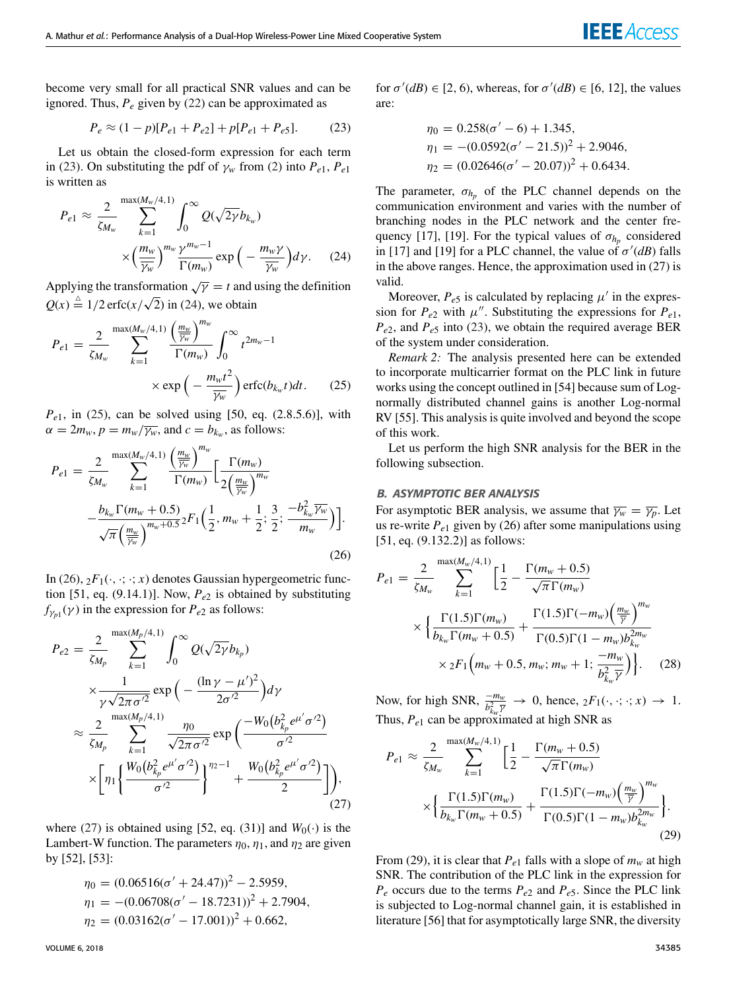become very small for all practical SNR values and can be ignored. Thus,  $P_e$  given by (22) can be approximated as

$$
P_e \approx (1 - p)[P_{e1} + P_{e2}] + p[P_{e1} + P_{e5}].
$$
 (23)

Let us obtain the closed-form expression for each term in (23). On substituting the pdf of  $\gamma_w$  from (2) into  $P_{e1}$ ,  $P_{e1}$ is written as

$$
P_{e1} \approx \frac{2}{\zeta_{M_w}} \sum_{k=1}^{\max(M_w/4,1)} \int_0^\infty Q(\sqrt{2\gamma} b_{k_w})
$$

$$
\times \left(\frac{m_w}{\overline{\gamma_w}}\right)^{m_w} \frac{\gamma^{m_w - 1}}{\Gamma(m_w)} \exp\left(-\frac{m_w \gamma}{\overline{\gamma_w}}\right) d\gamma. \tag{24}
$$

Applying the transformation  $\sqrt{\gamma} = t$  and using the definition  $Q(x) \stackrel{\triangle}{=} 1/2 \operatorname{erfc}(x/\sqrt{2})$  in (24), we obtain

$$
P_{e1} = \frac{2}{\zeta_{M_w}} \sum_{k=1}^{\max(M_w/4,1)} \frac{\left(\frac{m_w}{\overline{\gamma_w}}\right)^{m_w}}{\Gamma(m_w)} \int_0^\infty t^{2m_w - 1} \times \exp\left(-\frac{m_w t^2}{\overline{\gamma_w}}\right) \operatorname{erfc}(b_{k_w} t) dt. \tag{25}
$$

*P*<sub>e1</sub>, in (25), can be solved using [50, eq. (2.8.5.6)], with  $\alpha = 2m_w, p = m_w/\overline{\gamma_w}$ , and  $c = b_{k_w}$ , as follows:

$$
P_{e1} = \frac{2}{\zeta_{M_{w}}} \sum_{k=1}^{\max(M_{w}/4,1)} \frac{\left(\frac{m_{w}}{\overline{\gamma_{w}}}\right)^{m_{w}}}{\Gamma(m_{w})} \left[\frac{\Gamma(m_{w})}{2\left(\frac{m_{w}}{\overline{\gamma_{w}}}\right)^{m_{w}}}\right] \frac{\left[\frac{\Gamma(m_{w})}{2\left(\frac{m_{w}}{\overline{\gamma_{w}}}\right)^{m_{w}}}\right]}{\sqrt{\pi} \left(\frac{m_{w}}{\overline{\gamma_{w}}}\right)^{m_{w}+0.5} 2F_{1}\left(\frac{1}{2},m_{w}+\frac{1}{2};\frac{3}{2};\frac{-b_{k_{w}}^{2}\overline{\gamma_{w}}}{m_{w}}\right)\right].
$$
\n(26)

In (26),  ${}_2F_1(\cdot, \cdot; \cdot; x)$  denotes Gaussian hypergeometric function [51, eq. (9.14.1)]. Now, *Pe*<sup>2</sup> is obtained by substituting  $f_{\gamma_{p1}}(\gamma)$  in the expression for  $P_{e2}$  as follows:

$$
P_{e2} = \frac{2}{\zeta_{M_p}} \sum_{k=1}^{\max(M_p/4,1)} \int_0^\infty Q(\sqrt{2\gamma} b_{k_p})
$$
  
\n
$$
\times \frac{1}{\gamma \sqrt{2\pi \sigma'^2}} \exp\left(-\frac{(\ln \gamma - \mu')^2}{2\sigma'^2}\right) d\gamma
$$
  
\n
$$
\approx \frac{2}{\zeta_{M_p}} \sum_{k=1}^{\max(M_p/4,1)} \frac{\eta_0}{\sqrt{2\pi \sigma'^2}} \exp\left(\frac{-W_0(b_{k_p}^2 e^{\mu'} \sigma'^2)}{\sigma'^2}\right)
$$
  
\n
$$
\times \left[\eta_1 \left\{\frac{W_0(b_{k_p}^2 e^{\mu'} \sigma'^2)}{\sigma'^2}\right\}^{\eta_2-1} + \frac{W_0(b_{k_p}^2 e^{\mu'} \sigma'^2)}{2}\right]\right),
$$
\n(27)

where (27) is obtained using [52, eq. (31)] and  $W_0(\cdot)$  is the Lambert-W function. The parameters  $\eta_0$ ,  $\eta_1$ , and  $\eta_2$  are given by [52], [53]:

$$
\eta_0 = (0.06516(\sigma' + 24.47))^2 - 2.5959,
$$
  
\n
$$
\eta_1 = -(0.06708(\sigma' - 18.7231))^2 + 2.7904,
$$
  
\n
$$
\eta_2 = (0.03162(\sigma' - 17.001))^2 + 0.662,
$$

for  $\sigma'(dB) \in [2, 6)$ , whereas, for  $\sigma'(dB) \in [6, 12]$ , the values are:

$$
\eta_0 = 0.258(\sigma' - 6) + 1.345,
$$
  
\n
$$
\eta_1 = -(0.0592(\sigma' - 21.5))^2 + 2.9046,
$$
  
\n
$$
\eta_2 = (0.02646(\sigma' - 20.07))^2 + 0.6434.
$$

The parameter,  $\sigma_{h_p}$  of the PLC channel depends on the communication environment and varies with the number of branching nodes in the PLC network and the center frequency [17], [19]. For the typical values of  $\sigma_{h_p}$  considered in [17] and [19] for a PLC channel, the value of  $\sigma'(dB)$  falls in the above ranges. Hence, the approximation used in (27) is valid.

Moreover,  $P_{e5}$  is calculated by replacing  $\mu'$  in the expression for  $P_{e2}$  with  $\mu''$ . Substituting the expressions for  $P_{e1}$ ,  $P_{e2}$ , and  $P_{e5}$  into (23), we obtain the required average BER of the system under consideration.

*Remark 2:* The analysis presented here can be extended to incorporate multicarrier format on the PLC link in future works using the concept outlined in [54] because sum of Lognormally distributed channel gains is another Log-normal RV [55]. This analysis is quite involved and beyond the scope of this work.

Let us perform the high SNR analysis for the BER in the following subsection.

#### B. ASYMPTOTIC BER ANALYSIS

For asymptotic BER analysis, we assume that  $\overline{\gamma_w} = \overline{\gamma_p}$ . Let us re-write  $P_{e1}$  given by (26) after some manipulations using [51, eq. (9.132.2)] as follows:

$$
P_{e1} = \frac{2}{\zeta_{M_w}} \sum_{k=1}^{\max(M_w/4,1)} \left[ \frac{1}{2} - \frac{\Gamma(m_w + 0.5)}{\sqrt{\pi} \Gamma(m_w)} \right]
$$

$$
\times \left\{ \frac{\Gamma(1.5)\Gamma(m_w)}{b_{k_w} \Gamma(m_w + 0.5)} + \frac{\Gamma(1.5)\Gamma(-m_w) \left( \frac{m_w}{\overline{\gamma}} \right)^{m_w}}{\Gamma(0.5)\Gamma(1 - m_w) b_{k_w}^{2m_w}} \right\}
$$

$$
\times {}_2F_1 \left( m_w + 0.5, m_w; m_w + 1; \frac{-m_w}{b_{k_w}^2 \overline{\gamma}} \right) \right\}.
$$
 (28)

Now, for high SNR,  $\frac{-m_w}{b_{k_w}^2 \bar{y}} \to 0$ , hence,  ${}_2F_1(\cdot, \cdot; \cdot; x) \to 1$ . Thus,  $P_{e1}$  can be approximated at high SNR as

$$
P_{e1} \approx \frac{2}{\zeta_{M_w}} \sum_{k=1}^{\max(M_w/4,1)} \left[ \frac{1}{2} - \frac{\Gamma(m_w + 0.5)}{\sqrt{\pi} \Gamma(m_w)} \right] \times \left\{ \frac{\Gamma(1.5) \Gamma(m_w)}{b_{k_w} \Gamma(m_w + 0.5)} + \frac{\Gamma(1.5) \Gamma(-m_w) \left(\frac{m_w}{\bar{\gamma}}\right)^{m_w}}{\Gamma(0.5) \Gamma(1 - m_w) b_{k_w}^{2m_w}} \right\}.
$$
\n(29)

From (29), it is clear that  $P_{e1}$  falls with a slope of  $m_w$  at high SNR. The contribution of the PLC link in the expression for  $P_e$  occurs due to the terms  $P_{e2}$  and  $P_{e5}$ . Since the PLC link is subjected to Log-normal channel gain, it is established in literature [56] that for asymptotically large SNR, the diversity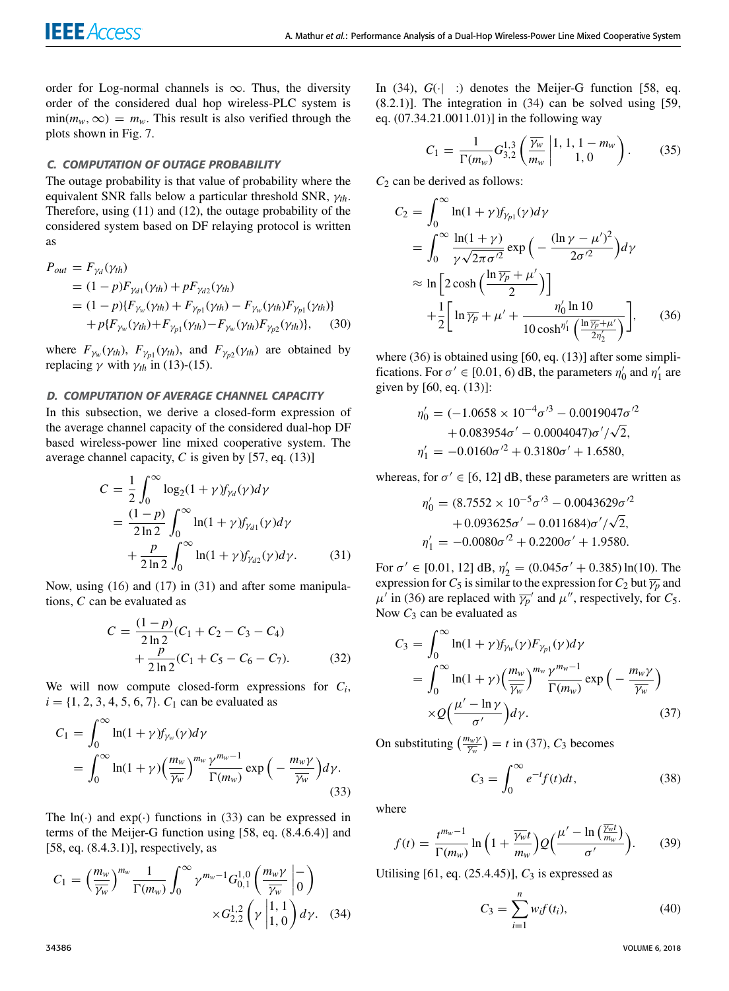order for Log-normal channels is  $\infty$ . Thus, the diversity order of the considered dual hop wireless-PLC system is  $\min(m_w, \infty) = m_w$ . This result is also verified through the plots shown in Fig. 7.

## C. COMPUTATION OF OUTAGE PROBABILITY

The outage probability is that value of probability where the equivalent SNR falls below a particular threshold SNR, γ*th*. Therefore, using (11) and (12), the outage probability of the considered system based on DF relaying protocol is written as

$$
P_{out} = F_{\gamma_d}(\gamma_{th})
$$
  
= (1 - p)F\_{\gamma\_{d1}}(\gamma\_{th}) + pF\_{\gamma\_{d2}}(\gamma\_{th})  
= (1 - p)\{F\_{\gamma\_w}(\gamma\_{th}) + F\_{\gamma\_{p1}}(\gamma\_{th}) - F\_{\gamma\_w}(\gamma\_{th})F\_{\gamma\_{p1}}(\gamma\_{th})\}   
+ p\{F\_{\gamma\_w}(\gamma\_{th}) + F\_{\gamma\_{p1}}(\gamma\_{th}) - F\_{\gamma\_w}(\gamma\_{th})F\_{\gamma\_{p2}}(\gamma\_{th})\}, (30)

where  $F_{\gamma_w}(\gamma_{th})$ ,  $F_{\gamma_{p1}}(\gamma_{th})$ , and  $F_{\gamma_{p2}}(\gamma_{th})$  are obtained by replacing γ with  $γ<sub>th</sub>$  in (13)-(15).

## D. COMPUTATION OF AVERAGE CHANNEL CAPACITY

In this subsection, we derive a closed-form expression of the average channel capacity of the considered dual-hop DF based wireless-power line mixed cooperative system. The average channel capacity, *C* is given by [57, eq. (13)]

$$
C = \frac{1}{2} \int_0^\infty \log_2(1 + \gamma) f_{\gamma d}(\gamma) d\gamma
$$
  
=  $\frac{(1 - p)}{2 \ln 2} \int_0^\infty \ln(1 + \gamma) f_{\gamma d1}(\gamma) d\gamma$   
+  $\frac{p}{2 \ln 2} \int_0^\infty \ln(1 + \gamma) f_{\gamma d2}(\gamma) d\gamma.$  (31)

Now, using (16) and (17) in (31) and after some manipulations, *C* can be evaluated as

$$
C = \frac{(1-p)}{2\ln 2}(C_1 + C_2 - C_3 - C_4)
$$
  
 
$$
+ \frac{p}{2\ln 2}(C_1 + C_5 - C_6 - C_7).
$$
 (32)

We will now compute closed-form expressions for *C<sup>i</sup>* ,  $i = \{1, 2, 3, 4, 5, 6, 7\}$ .  $C_1$  can be evaluated as

$$
C_1 = \int_0^\infty \ln(1+\gamma) f_{\gamma_w}(\gamma) d\gamma
$$
  
= 
$$
\int_0^\infty \ln(1+\gamma) \left(\frac{m_w}{\overline{\gamma_w}}\right)^{m_w} \frac{\gamma^{m_w - 1}}{\Gamma(m_w)} \exp\left(-\frac{m_w \gamma}{\overline{\gamma_w}}\right) d\gamma.
$$
 (33)

The  $ln(\cdot)$  and  $exp(\cdot)$  functions in (33) can be expressed in terms of the Meijer-G function using [58, eq. (8.4.6.4)] and [58, eq. (8.4.3.1)], respectively, as

$$
C_1 = \left(\frac{m_w}{\overline{\gamma_w}}\right)^{m_w} \frac{1}{\Gamma(m_w)} \int_0^\infty \gamma^{m_w - 1} G_{0,1}^{1,0} \left(\frac{m_w \gamma}{\overline{\gamma_w}} \middle|_0^{-1}\right) \times G_{2,2}^{1,2} \left(\gamma \middle|_{1,0}^{1,1}\right) d\gamma. \tag{34}
$$

In  $(34)$ ,  $G(\cdot|\cdot)$  denotes the Meijer-G function [58, eq. (8.2.1)]. The integration in (34) can be solved using [59, eq. (07.34.21.0011.01)] in the following way

$$
C_1 = \frac{1}{\Gamma(m_w)} G_{3,2}^{1,3} \left( \frac{\overline{\gamma_w}}{m_w} \middle| \begin{matrix} 1, 1, 1 - m_w \\ 1, 0 \end{matrix} \right). \tag{35}
$$

*C*<sup>2</sup> can be derived as follows:

$$
C_2 = \int_0^\infty \ln(1+\gamma) f_{\gamma p1}(\gamma) d\gamma
$$
  
= 
$$
\int_0^\infty \frac{\ln(1+\gamma)}{\gamma \sqrt{2\pi \sigma'^2}} \exp\left(-\frac{(\ln \gamma - \mu')^2}{2\sigma'^2}\right) d\gamma
$$
  

$$
\approx \ln \left[2 \cosh\left(\frac{\ln \gamma_p + \mu'}{2}\right)\right]
$$
  
+ 
$$
\frac{1}{2} \left[ \ln \overline{\gamma_p} + \mu' + \frac{\eta'_0 \ln 10}{10 \cosh^{\eta'_1} \left(\frac{\ln \overline{\gamma_p} + \mu'}{2\eta'_2}\right)} \right],
$$
 (36)

where (36) is obtained using [60, eq. (13)] after some simplifications. For  $\sigma' \in [0.01, 6)$  dB, the parameters  $\eta'_0$  and  $\eta'_1$  are given by [60, eq. (13)]:

$$
\eta'_0 = (-1.0658 \times 10^{-4} \sigma'^3 - 0.0019047 \sigma'^2 + 0.083954 \sigma' - 0.0004047) \sigma'/\sqrt{2},
$$
  

$$
\eta'_1 = -0.0160 \sigma'^2 + 0.3180 \sigma' + 1.6580,
$$

whereas, for  $\sigma' \in [6, 12]$  dB, these parameters are written as

$$
\eta'_0 = (8.7552 \times 10^{-5} \sigma'^3 - 0.0043629 \sigma'^2 + 0.093625 \sigma' - 0.011684 \sigma' / \sqrt{2}, \n\eta'_1 = -0.0080 \sigma'^2 + 0.2200 \sigma' + 1.9580.
$$

For  $\sigma' \in [0.01, 12]$  dB,  $\eta_2' = (0.045\sigma' + 0.385) \ln(10)$ . The expression for  $C_5$  is similar to the expression for  $C_2$  but  $\overline{\gamma_p}$  and  $\mu'$  in (36) are replaced with  $\overline{\gamma_p}'$  and  $\mu''$ , respectively, for *C*<sub>5</sub>. Now  $C_3$  can be evaluated as

$$
C_3 = \int_0^\infty \ln(1+\gamma) f_{\gamma_w}(\gamma) F_{\gamma_{p1}}(\gamma) d\gamma
$$
  
= 
$$
\int_0^\infty \ln(1+\gamma) \left(\frac{m_w}{\overline{\gamma_w}}\right)^{m_w} \frac{\gamma^{m_w - 1}}{\Gamma(m_w)} \exp\left(-\frac{m_w \gamma}{\overline{\gamma_w}}\right)
$$
  

$$
\times Q\left(\frac{\mu' - \ln \gamma}{\sigma'}\right) d\gamma.
$$
 (37)

On substituting  $\left(\frac{m_w y}{\overline{\gamma_w}}\right) = t$  in (37),  $C_3$  becomes

$$
C_3 = \int_0^\infty e^{-t} f(t) dt,
$$
\n(38)

where

$$
f(t) = \frac{t^{m_w - 1}}{\Gamma(m_w)} \ln \left( 1 + \frac{\overline{\gamma_w}t}{m_w} \right) Q\left(\frac{\mu' - \ln\left(\frac{\overline{\gamma_w}t}{m_w}\right)}{\sigma'}\right). \tag{39}
$$

Utilising  $[61, eq. (25.4.45)], C_3$  is expressed as

$$
C_3 = \sum_{i=1}^{n} w_i f(t_i),
$$
 (40)

34386 VOLUME 6, 2018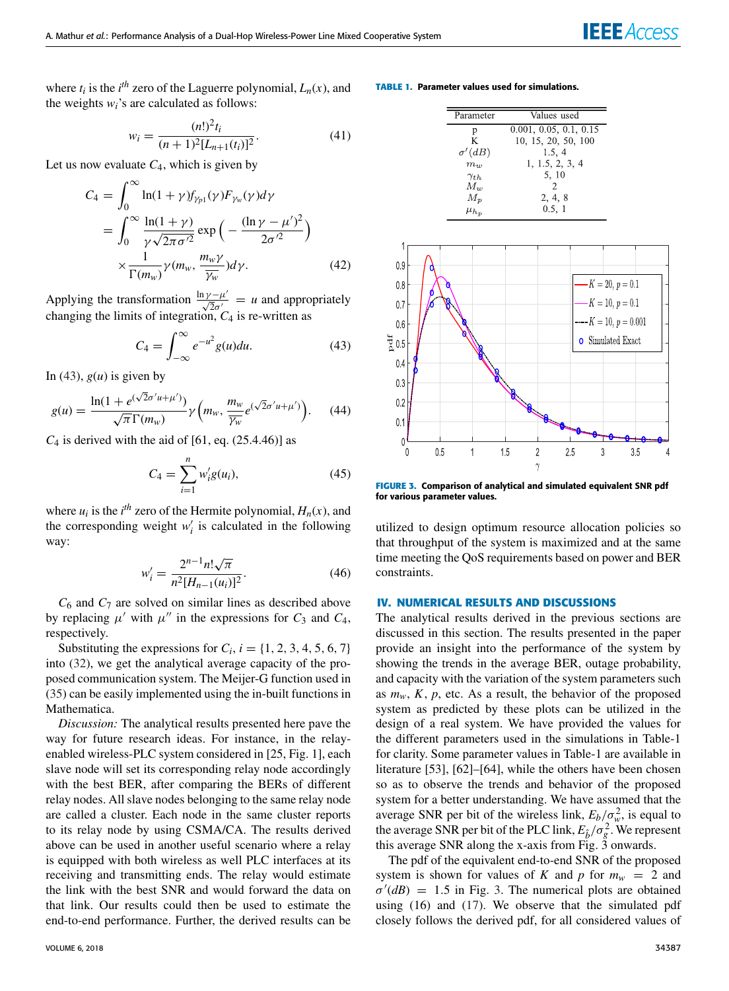where  $t_i$  is the  $i^{th}$  zero of the Laguerre polynomial,  $L_n(x)$ , and the weights *wi*'s are calculated as follows:

$$
w_i = \frac{(n!)^2 t_i}{(n+1)^2 [L_{n+1}(t_i)]^2}.
$$
\n(41)

Let us now evaluate  $C_4$ , which is given by

$$
C_4 = \int_0^\infty \ln(1+\gamma) f_{\gamma_{p1}}(\gamma) F_{\gamma_w}(\gamma) d\gamma
$$
  
= 
$$
\int_0^\infty \frac{\ln(1+\gamma)}{\gamma \sqrt{2\pi \sigma'^2}} \exp\left(-\frac{(\ln \gamma - \mu')^2}{2\sigma'^2}\right)
$$
  

$$
\times \frac{1}{\Gamma(m_w)} \gamma(m_w, \frac{m_w \gamma}{\gamma_w}) d\gamma.
$$
 (42)

Applying the transformation  $\frac{\ln \gamma - \mu'}{\sqrt{2} \sigma'} = u$  and appropriately changing the limits of integration, *C*<sup>4</sup> is re-written as

$$
C_4 = \int_{-\infty}^{\infty} e^{-u^2} g(u) du.
$$
 (43)

In (43),  $g(u)$  is given by

$$
g(u) = \frac{\ln(1 + e^{(\sqrt{2}\sigma' u + \mu')})}{\sqrt{\pi} \Gamma(m_w)} \gamma\left(m_w, \frac{m_w}{\gamma_w} e^{(\sqrt{2}\sigma' u + \mu')}\right).
$$
 (44)

 $C_4$  is derived with the aid of [61, eq. (25.4.46)] as

$$
C_4 = \sum_{i=1}^{n} w'_i g(u_i),
$$
 (45)

where  $u_i$  is the  $i^{th}$  zero of the Hermite polynomial,  $H_n(x)$ , and the corresponding weight  $w'_i$  is calculated in the following way:

$$
w_i' = \frac{2^{n-1} n! \sqrt{\pi}}{n^2 [H_{n-1}(u_i)]^2}.
$$
 (46)

*C*<sup>6</sup> and *C*<sup>7</sup> are solved on similar lines as described above by replacing  $\mu'$  with  $\mu''$  in the expressions for  $C_3$  and  $C_4$ , respectively.

Substituting the expressions for  $C_i$ ,  $i = \{1, 2, 3, 4, 5, 6, 7\}$ into (32), we get the analytical average capacity of the proposed communication system. The Meijer-G function used in (35) can be easily implemented using the in-built functions in Mathematica.

*Discussion:* The analytical results presented here pave the way for future research ideas. For instance, in the relayenabled wireless-PLC system considered in [25, Fig. 1], each slave node will set its corresponding relay node accordingly with the best BER, after comparing the BERs of different relay nodes. All slave nodes belonging to the same relay node are called a cluster. Each node in the same cluster reports to its relay node by using CSMA/CA. The results derived above can be used in another useful scenario where a relay is equipped with both wireless as well PLC interfaces at its receiving and transmitting ends. The relay would estimate the link with the best SNR and would forward the data on that link. Our results could then be used to estimate the end-to-end performance. Further, the derived results can be

#### **TABLE 1.** Parameter values used for simulations.

| Parameter         | Values used            |
|-------------------|------------------------|
| р                 | 0.001, 0.05, 0.1, 0.15 |
| K                 | 10, 15, 20, 50, 100    |
| $\sigma'(dB)$     | 1.5, 4                 |
| $m_w$             | 1, 1.5, 2, 3, 4        |
| $\gamma_{th}$     | 5, 10                  |
| $M_{w}$           | $\mathfrak{D}$         |
| $M_{\mathcal{D}}$ | 2, 4, 8                |
| $\mu_{h_n}$       | 0.5, 1                 |



**FIGURE 3.** Comparison of analytical and simulated equivalent SNR pdf for various parameter values.

utilized to design optimum resource allocation policies so that throughput of the system is maximized and at the same time meeting the QoS requirements based on power and BER constraints.

#### **IV. NUMERICAL RESULTS AND DISCUSSIONS**

The analytical results derived in the previous sections are discussed in this section. The results presented in the paper provide an insight into the performance of the system by showing the trends in the average BER, outage probability, and capacity with the variation of the system parameters such as  $m_w$ ,  $K$ ,  $p$ , etc. As a result, the behavior of the proposed system as predicted by these plots can be utilized in the design of a real system. We have provided the values for the different parameters used in the simulations in Table-1 for clarity. Some parameter values in Table-1 are available in literature [53], [62]–[64], while the others have been chosen so as to observe the trends and behavior of the proposed system for a better understanding. We have assumed that the average SNR per bit of the wireless link,  $E_b / \sigma_w^2$ , is equal to the average SNR per bit of the PLC link,  $E_{\hat{b}}/\sigma_g^2$ . We represent this average SNR along the x-axis from Fig. 3 onwards.

The pdf of the equivalent end-to-end SNR of the proposed system is shown for values of *K* and *p* for  $m_w = 2$  and  $\sigma'(dB) = 1.5$  in Fig. 3. The numerical plots are obtained using (16) and (17). We observe that the simulated pdf closely follows the derived pdf, for all considered values of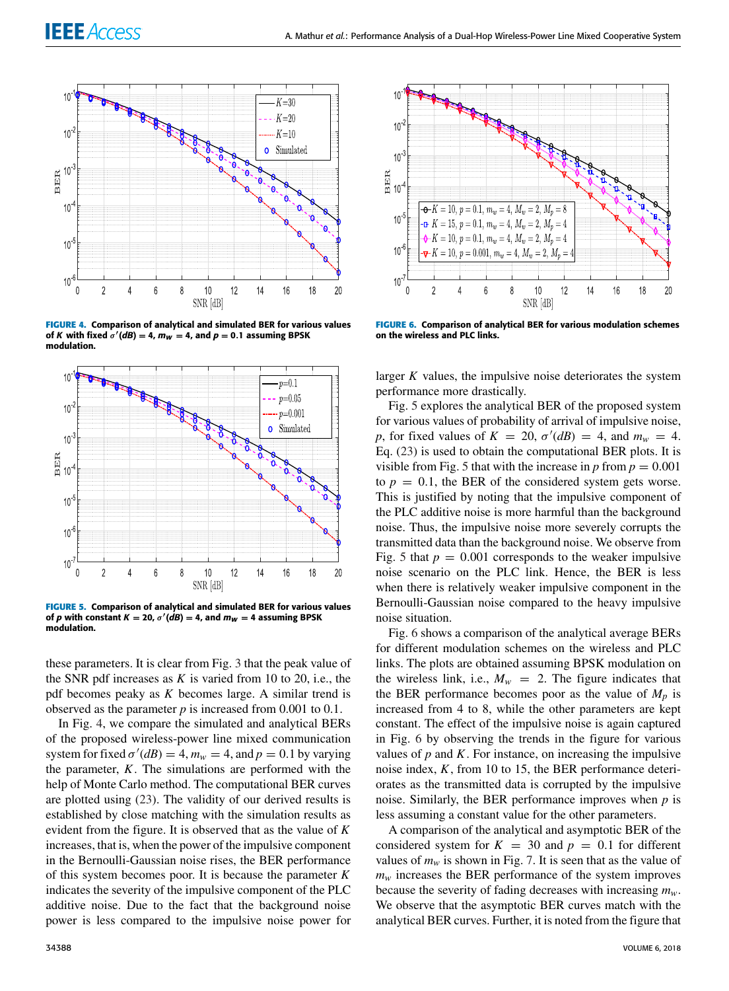

**FIGURE 4.** Comparison of analytical and simulated BER for various values of K with fixed  $\sigma'(dB) = 4$ ,  $m_W = 4$ , and  $p = 0.1$  assuming BPSK modulation.



**FIGURE 5.** Comparison of analytical and simulated BER for various values of p with constant  $K = 20$ ,  $\sigma'(dB) = 4$ , and  $m_W = 4$  assuming BPSK modulation.

these parameters. It is clear from Fig. 3 that the peak value of the SNR pdf increases as  $K$  is varied from 10 to 20, i.e., the pdf becomes peaky as *K* becomes large. A similar trend is observed as the parameter *p* is increased from 0.001 to 0.1.

In Fig. 4, we compare the simulated and analytical BERs of the proposed wireless-power line mixed communication system for fixed  $\sigma'(dB) = 4$ ,  $m_w = 4$ , and  $p = 0.1$  by varying the parameter, *K*. The simulations are performed with the help of Monte Carlo method. The computational BER curves are plotted using (23). The validity of our derived results is established by close matching with the simulation results as evident from the figure. It is observed that as the value of *K* increases, that is, when the power of the impulsive component in the Bernoulli-Gaussian noise rises, the BER performance of this system becomes poor. It is because the parameter *K* indicates the severity of the impulsive component of the PLC additive noise. Due to the fact that the background noise power is less compared to the impulsive noise power for



**FIGURE 6.** Comparison of analytical BER for various modulation schemes on the wireless and PLC links.

larger *K* values, the impulsive noise deteriorates the system performance more drastically.

Fig. 5 explores the analytical BER of the proposed system for various values of probability of arrival of impulsive noise, *p*, for fixed values of  $K = 20$ ,  $\sigma'(dB) = 4$ , and  $m_w = 4$ . Eq. (23) is used to obtain the computational BER plots. It is visible from Fig. 5 that with the increase in  $p$  from  $p = 0.001$ to  $p = 0.1$ , the BER of the considered system gets worse. This is justified by noting that the impulsive component of the PLC additive noise is more harmful than the background noise. Thus, the impulsive noise more severely corrupts the transmitted data than the background noise. We observe from Fig. 5 that  $p = 0.001$  corresponds to the weaker impulsive noise scenario on the PLC link. Hence, the BER is less when there is relatively weaker impulsive component in the Bernoulli-Gaussian noise compared to the heavy impulsive noise situation.

Fig. 6 shows a comparison of the analytical average BERs for different modulation schemes on the wireless and PLC links. The plots are obtained assuming BPSK modulation on the wireless link, i.e.,  $M_w = 2$ . The figure indicates that the BER performance becomes poor as the value of  $M_p$  is increased from 4 to 8, while the other parameters are kept constant. The effect of the impulsive noise is again captured in Fig. 6 by observing the trends in the figure for various values of  $p$  and  $K$ . For instance, on increasing the impulsive noise index, *K*, from 10 to 15, the BER performance deteriorates as the transmitted data is corrupted by the impulsive noise. Similarly, the BER performance improves when *p* is less assuming a constant value for the other parameters.

A comparison of the analytical and asymptotic BER of the considered system for  $K = 30$  and  $p = 0.1$  for different values of  $m_w$  is shown in Fig. 7. It is seen that as the value of  $m<sub>w</sub>$  increases the BER performance of the system improves because the severity of fading decreases with increasing *mw*. We observe that the asymptotic BER curves match with the analytical BER curves. Further, it is noted from the figure that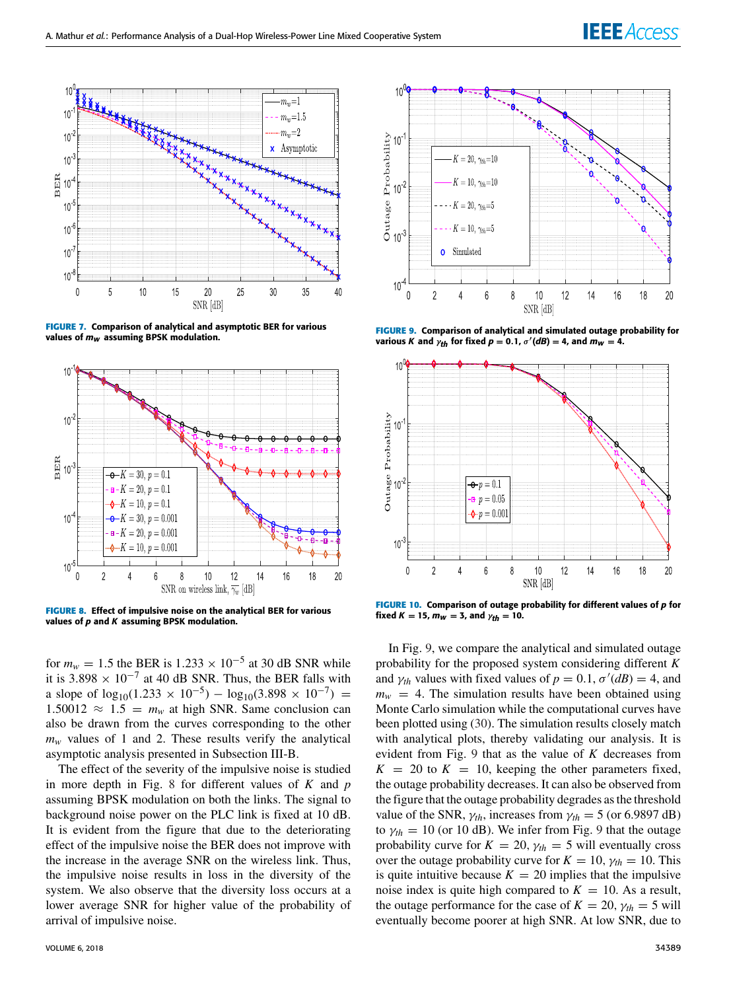

**FIGURE 7.** Comparison of analytical and asymptotic BER for various values of  $m_W$  assuming BPSK modulation.



**FIGURE 8.** Effect of impulsive noise on the analytical BER for various values of  $p$  and  $K$  assuming BPSK modulation.

for  $m_w = 1.5$  the BER is  $1.233 \times 10^{-5}$  at 30 dB SNR while it is 3.898  $\times$  10<sup>-7</sup> at 40 dB SNR. Thus, the BER falls with a slope of  $\log_{10}(1.233 \times 10^{-5}) - \log_{10}(3.898 \times 10^{-7}) =$  $1.50012 \approx 1.5 = m_w$  at high SNR. Same conclusion can also be drawn from the curves corresponding to the other  $m_w$  values of 1 and 2. These results verify the analytical asymptotic analysis presented in Subsection III-B.

The effect of the severity of the impulsive noise is studied in more depth in Fig. 8 for different values of *K* and *p* assuming BPSK modulation on both the links. The signal to background noise power on the PLC link is fixed at 10 dB. It is evident from the figure that due to the deteriorating effect of the impulsive noise the BER does not improve with the increase in the average SNR on the wireless link. Thus, the impulsive noise results in loss in the diversity of the system. We also observe that the diversity loss occurs at a lower average SNR for higher value of the probability of arrival of impulsive noise.



**FIGURE 9.** Comparison of analytical and simulated outage probability for various K and  $\gamma_{th}$  for fixed  $p = 0.1$ ,  $\sigma'(dB) = 4$ , and  $m_W = 4$ .



**FIGURE 10.** Comparison of outage probability for different values of p for fixed  $K = 15$ ,  $m_W = 3$ , and  $\gamma_{th} = 10$ .

In Fig. 9, we compare the analytical and simulated outage probability for the proposed system considering different *K* and  $\gamma_{th}$  values with fixed values of  $p = 0.1$ ,  $\sigma'(dB) = 4$ , and  $m_w = 4$ . The simulation results have been obtained using Monte Carlo simulation while the computational curves have been plotted using (30). The simulation results closely match with analytical plots, thereby validating our analysis. It is evident from Fig. 9 that as the value of *K* decreases from  $K = 20$  to  $K = 10$ , keeping the other parameters fixed, the outage probability decreases. It can also be observed from the figure that the outage probability degrades as the threshold value of the SNR,  $\gamma_{th}$ , increases from  $\gamma_{th} = 5$  (or 6.9897 dB) to  $\gamma_{th} = 10$  (or 10 dB). We infer from Fig. 9 that the outage probability curve for  $K = 20$ ,  $\gamma_{th} = 5$  will eventually cross over the outage probability curve for  $K = 10$ ,  $\gamma_{th} = 10$ . This is quite intuitive because  $K = 20$  implies that the impulsive noise index is quite high compared to  $K = 10$ . As a result, the outage performance for the case of  $K = 20$ ,  $\gamma_{th} = 5$  will eventually become poorer at high SNR. At low SNR, due to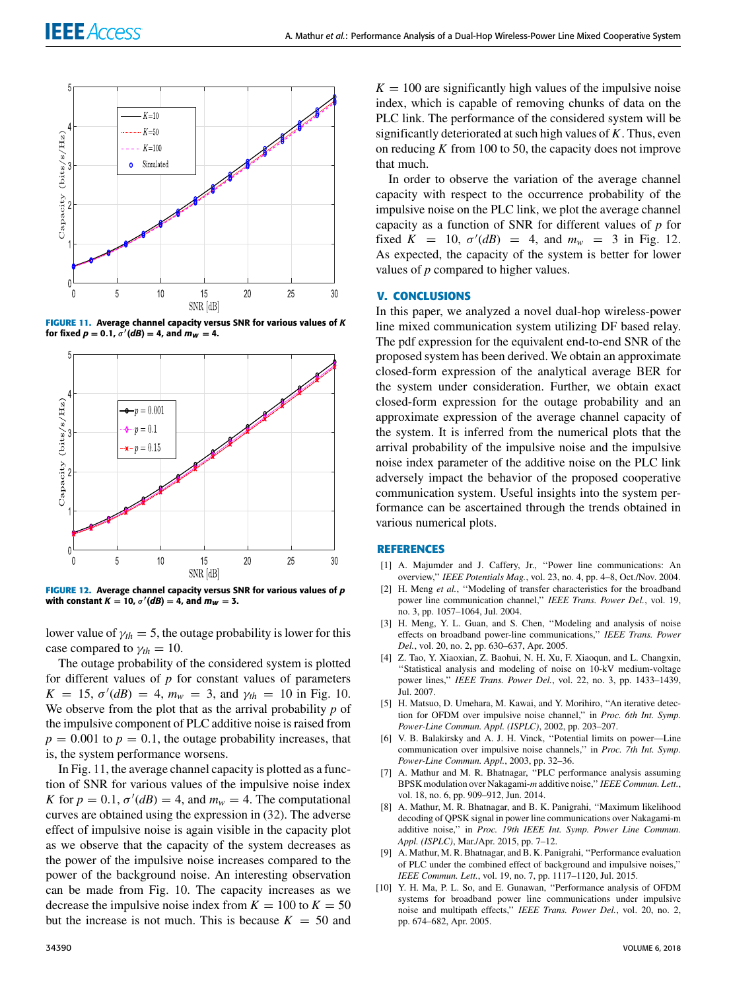

**FIGURE 11.** Average channel capacity versus SNR for various values of K for fixed  $p = 0.1$ ,  $\sigma'(dB) = 4$ , and  $m_W = 4$ .



**FIGURE 12.** Average channel capacity versus SNR for various values of p with constant  $K = 10$ ,  $\sigma'(dB) = 4$ , and  $m_W = 3$ .

lower value of  $\gamma_{th} = 5$ , the outage probability is lower for this case compared to  $\gamma_{th} = 10$ .

The outage probability of the considered system is plotted for different values of *p* for constant values of parameters  $K = 15$ ,  $\sigma'(dB) = 4$ ,  $m_w = 3$ , and  $\gamma_{th} = 10$  in Fig. 10. We observe from the plot that as the arrival probability *p* of the impulsive component of PLC additive noise is raised from  $p = 0.001$  to  $p = 0.1$ , the outage probability increases, that is, the system performance worsens.

In Fig. 11, the average channel capacity is plotted as a function of SNR for various values of the impulsive noise index *K* for  $p = 0.1$ ,  $\sigma'(dB) = 4$ , and  $m_w = 4$ . The computational curves are obtained using the expression in (32). The adverse effect of impulsive noise is again visible in the capacity plot as we observe that the capacity of the system decreases as the power of the impulsive noise increases compared to the power of the background noise. An interesting observation can be made from Fig. 10. The capacity increases as we decrease the impulsive noise index from  $K = 100$  to  $K = 50$ but the increase is not much. This is because  $K = 50$  and

 $K = 100$  are significantly high values of the impulsive noise index, which is capable of removing chunks of data on the PLC link. The performance of the considered system will be significantly deteriorated at such high values of *K*. Thus, even on reducing *K* from 100 to 50, the capacity does not improve that much.

In order to observe the variation of the average channel capacity with respect to the occurrence probability of the impulsive noise on the PLC link, we plot the average channel capacity as a function of SNR for different values of *p* for fixed  $K = 10$ ,  $\sigma'(dB) = 4$ , and  $m_w = 3$  in Fig. 12. As expected, the capacity of the system is better for lower values of *p* compared to higher values.

#### **V. CONCLUSIONS**

In this paper, we analyzed a novel dual-hop wireless-power line mixed communication system utilizing DF based relay. The pdf expression for the equivalent end-to-end SNR of the proposed system has been derived. We obtain an approximate closed-form expression of the analytical average BER for the system under consideration. Further, we obtain exact closed-form expression for the outage probability and an approximate expression of the average channel capacity of the system. It is inferred from the numerical plots that the arrival probability of the impulsive noise and the impulsive noise index parameter of the additive noise on the PLC link adversely impact the behavior of the proposed cooperative communication system. Useful insights into the system performance can be ascertained through the trends obtained in various numerical plots.

#### **REFERENCES**

- [1] A. Majumder and J. Caffery, Jr., ''Power line communications: An overview,'' *IEEE Potentials Mag.*, vol. 23, no. 4, pp. 4–8, Oct./Nov. 2004.
- [2] H. Meng et al., "Modeling of transfer characteristics for the broadband power line communication channel,'' *IEEE Trans. Power Del.*, vol. 19, no. 3, pp. 1057–1064, Jul. 2004.
- [3] H. Meng, Y. L. Guan, and S. Chen, ''Modeling and analysis of noise effects on broadband power-line communications,'' *IEEE Trans. Power Del.*, vol. 20, no. 2, pp. 630–637, Apr. 2005.
- [4] Z. Tao, Y. Xiaoxian, Z. Baohui, N. H. Xu, F. Xiaoqun, and L. Changxin, ''Statistical analysis and modeling of noise on 10-kV medium-voltage power lines,'' *IEEE Trans. Power Del.*, vol. 22, no. 3, pp. 1433–1439, Jul. 2007.
- [5] H. Matsuo, D. Umehara, M. Kawai, and Y. Morihiro, ''An iterative detection for OFDM over impulsive noise channel,'' in *Proc. 6th Int. Symp. Power-Line Commun. Appl. (ISPLC)*, 2002, pp. 203–207.
- [6] V. B. Balakirsky and A. J. H. Vinck, ''Potential limits on power—Line communication over impulsive noise channels,'' in *Proc. 7th Int. Symp. Power-Line Commun. Appl.*, 2003, pp. 32–36.
- [7] A. Mathur and M. R. Bhatnagar, ''PLC performance analysis assuming BPSK modulation over Nakagami-*m* additive noise,'' *IEEE Commun. Lett.*, vol. 18, no. 6, pp. 909–912, Jun. 2014.
- [8] A. Mathur, M. R. Bhatnagar, and B. K. Panigrahi, ''Maximum likelihood decoding of QPSK signal in power line communications over Nakagami-m additive noise,'' in *Proc. 19th IEEE Int. Symp. Power Line Commun. Appl. (ISPLC)*, Mar./Apr. 2015, pp. 7–12.
- [9] A. Mathur, M. R. Bhatnagar, and B. K. Panigrahi, ''Performance evaluation of PLC under the combined effect of background and impulsive noises,'' *IEEE Commun. Lett.*, vol. 19, no. 7, pp. 1117–1120, Jul. 2015.
- [10] Y. H. Ma, P. L. So, and E. Gunawan, "Performance analysis of OFDM systems for broadband power line communications under impulsive noise and multipath effects,'' *IEEE Trans. Power Del.*, vol. 20, no. 2, pp. 674–682, Apr. 2005.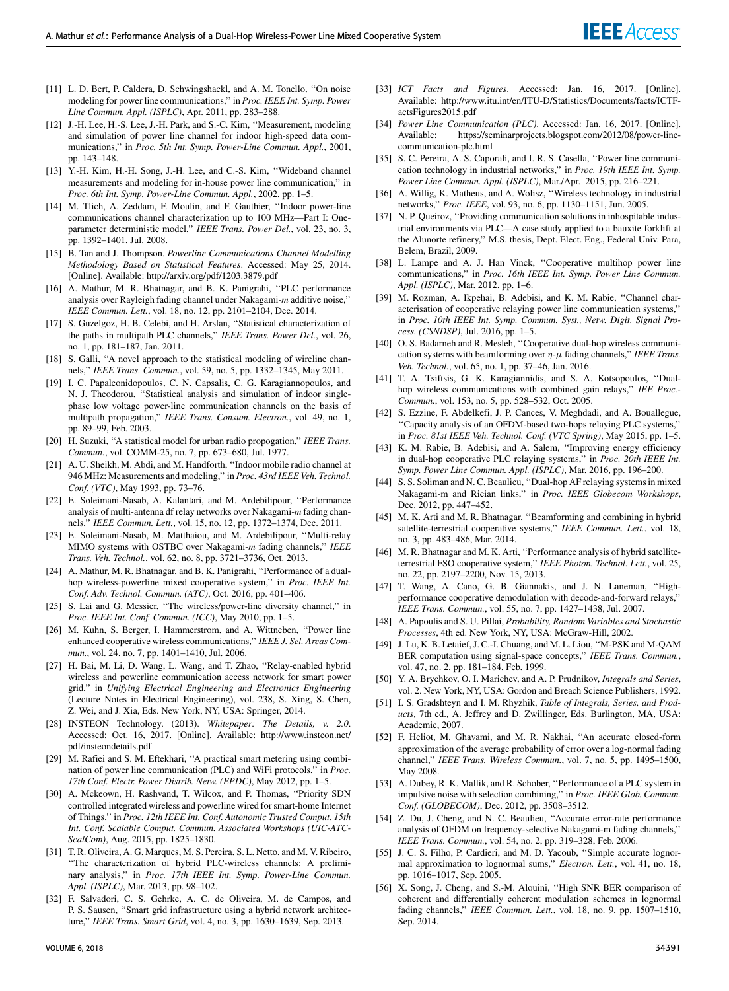- [11] L. D. Bert, P. Caldera, D. Schwingshackl, and A. M. Tonello, "On noise modeling for power line communications,'' in *Proc. IEEE Int. Symp. Power Line Commun. Appl. (ISPLC)*, Apr. 2011, pp. 283–288.
- [12] J.-H. Lee, H.-S. Lee, J.-H. Park, and S.-C. Kim, ''Measurement, modeling and simulation of power line channel for indoor high-speed data communications,'' in *Proc. 5th Int. Symp. Power-Line Commun. Appl.*, 2001, pp. 143–148.
- [13] Y.-H. Kim, H.-H. Song, J.-H. Lee, and C.-S. Kim, ''Wideband channel measurements and modeling for in-house power line communication,'' in *Proc. 6th Int. Symp. Power-Line Commun. Appl.*, 2002, pp. 1–5.
- [14] M. Tlich, A. Zeddam, F. Moulin, and F. Gauthier, ''Indoor power-line communications channel characterization up to 100 MHz—Part I: Oneparameter deterministic model,'' *IEEE Trans. Power Del.*, vol. 23, no. 3, pp. 1392–1401, Jul. 2008.
- [15] B. Tan and J. Thompson. *Powerline Communications Channel Modelling Methodology Based on Statistical Features*. Accessed: May 25, 2014. [Online]. Available: http://arxiv.org/pdf/1203.3879.pdf
- [16] A. Mathur, M. R. Bhatnagar, and B. K. Panigrahi, "PLC performance analysis over Rayleigh fading channel under Nakagami-*m* additive noise,'' *IEEE Commun. Lett.*, vol. 18, no. 12, pp. 2101–2104, Dec. 2014.
- [17] S. Guzelgoz, H. B. Celebi, and H. Arslan, "Statistical characterization of the paths in multipath PLC channels,'' *IEEE Trans. Power Del.*, vol. 26, no. 1, pp. 181–187, Jan. 2011.
- [18] S. Galli, "A novel approach to the statistical modeling of wireline channels,'' *IEEE Trans. Commun.*, vol. 59, no. 5, pp. 1332–1345, May 2011.
- [19] I. C. Papaleonidopoulos, C. N. Capsalis, C. G. Karagiannopoulos, and N. J. Theodorou, ''Statistical analysis and simulation of indoor singlephase low voltage power-line communication channels on the basis of multipath propagation,'' *IEEE Trans. Consum. Electron.*, vol. 49, no. 1, pp. 89–99, Feb. 2003.
- [20] H. Suzuki, ''A statistical model for urban radio propogation,'' *IEEE Trans. Commun.*, vol. COMM-25, no. 7, pp. 673–680, Jul. 1977.
- [21] A. U. Sheikh, M. Abdi, and M. Handforth, ''Indoor mobile radio channel at 946 MHz: Measurements and modeling,'' in *Proc. 43rd IEEE Veh. Technol. Conf. (VTC)*, May 1993, pp. 73–76.
- [22] E. Soleimani-Nasab, A. Kalantari, and M. Ardebilipour, ''Performance analysis of multi-antenna df relay networks over Nakagami-*m* fading channels,'' *IEEE Commun. Lett.*, vol. 15, no. 12, pp. 1372–1374, Dec. 2011.
- [23] E. Soleimani-Nasab, M. Matthaiou, and M. Ardebilipour, ''Multi-relay MIMO systems with OSTBC over Nakagami-*m* fading channels,'' *IEEE Trans. Veh. Technol.*, vol. 62, no. 8, pp. 3721–3736, Oct. 2013.
- [24] A. Mathur, M. R. Bhatnagar, and B. K. Panigrahi, "Performance of a dualhop wireless-powerline mixed cooperative system,'' in *Proc. IEEE Int. Conf. Adv. Technol. Commun. (ATC)*, Oct. 2016, pp. 401–406.
- [25] S. Lai and G. Messier, "The wireless/power-line diversity channel," in *Proc. IEEE Int. Conf. Commun. (ICC)*, May 2010, pp. 1–5.
- [26] M. Kuhn, S. Berger, I. Hammerstrom, and A. Wittneben, ''Power line enhanced cooperative wireless communications,'' *IEEE J. Sel. Areas Commun.*, vol. 24, no. 7, pp. 1401–1410, Jul. 2006.
- [27] H. Bai, M. Li, D. Wang, L. Wang, and T. Zhao, ''Relay-enabled hybrid wireless and powerline communication access network for smart power grid,'' in *Unifying Electrical Engineering and Electronics Engineering* (Lecture Notes in Electrical Engineering), vol. 238, S. Xing, S. Chen, Z. Wei, and J. Xia, Eds. New York, NY, USA: Springer, 2014.
- [28] INSTEON Technology. (2013). *Whitepaper: The Details, v. 2.0*. Accessed: Oct. 16, 2017. [Online]. Available: http://www.insteon.net/ pdf/insteondetails.pdf
- [29] M. Rafiei and S. M. Eftekhari, "A practical smart metering using combination of power line communication (PLC) and WiFi protocols,'' in *Proc. 17th Conf. Electr. Power Distrib. Netw. (EPDC)*, May 2012, pp. 1–5.
- [30] A. Mckeown, H. Rashvand, T. Wilcox, and P. Thomas, ''Priority SDN controlled integrated wireless and powerline wired for smart-home Internet of Things,'' in *Proc. 12th IEEE Int. Conf. Autonomic Trusted Comput. 15th Int. Conf. Scalable Comput. Commun. Associated Workshops (UIC-ATC-ScalCom)*, Aug. 2015, pp. 1825–1830.
- [31] T. R. Oliveira, A. G. Marques, M. S. Pereira, S. L. Netto, and M. V. Ribeiro, ''The characterization of hybrid PLC-wireless channels: A preliminary analysis,'' in *Proc. 17th IEEE Int. Symp. Power-Line Commun. Appl. (ISPLC)*, Mar. 2013, pp. 98–102.
- [32] F. Salvadori, C. S. Gehrke, A. C. de Oliveira, M. de Campos, and P. S. Sausen, ''Smart grid infrastructure using a hybrid network architecture,'' *IEEE Trans. Smart Grid*, vol. 4, no. 3, pp. 1630–1639, Sep. 2013.
- [33] *ICT Facts and Figures*. Accessed: Jan. 16, 2017. [Online]. Available: http://www.itu.int/en/ITU-D/Statistics/Documents/facts/ICTFactsFigures2015.pdf
- [34] *Power Line Communication (PLC)*. Accessed: Jan. 16, 2017. [Online]. Available: https://seminarprojects.blogspot.com/2012/08/power-linecommunication-plc.html
- [35] S. C. Pereira, A. S. Caporali, and I. R. S. Casella, "Power line communication technology in industrial networks,'' in *Proc. 19th IEEE Int. Symp. Power Line Commun. Appl. (ISPLC)*, Mar./Apr. 2015, pp. 216–221.
- [36] A. Willig, K. Matheus, and A. Wolisz, ''Wireless technology in industrial networks,'' *Proc. IEEE*, vol. 93, no. 6, pp. 1130–1151, Jun. 2005.
- [37] N. P. Queiroz, "Providing communication solutions in inhospitable industrial environments via PLC—A case study applied to a bauxite forklift at the Alunorte refinery,'' M.S. thesis, Dept. Elect. Eng., Federal Univ. Para, Belem, Brazil, 2009.
- [38] L. Lampe and A. J. Han Vinck, "Cooperative multihop power line communications,'' in *Proc. 16th IEEE Int. Symp. Power Line Commun. Appl. (ISPLC)*, Mar. 2012, pp. 1–6.
- [39] M. Rozman, A. Ikpehai, B. Adebisi, and K. M. Rabie, "Channel characterisation of cooperative relaying power line communication systems,'' in *Proc. 10th IEEE Int. Symp. Commun. Syst., Netw. Digit. Signal Process. (CSNDSP)*, Jul. 2016, pp. 1–5.
- [40] O. S. Badarneh and R. Mesleh, "Cooperative dual-hop wireless communication systems with beamforming over  $\eta$ - $\mu$  fading channels," *IEEE Trans. Veh. Technol.*, vol. 65, no. 1, pp. 37–46, Jan. 2016.
- [41] T. A. Tsiftsis, G. K. Karagiannidis, and S. A. Kotsopoulos, ''Dualhop wireless communications with combined gain relays,'' *IEE Proc.- Commun.*, vol. 153, no. 5, pp. 528–532, Oct. 2005.
- [42] S. Ezzine, F. Abdelkefi, J. P. Cances, V. Meghdadi, and A. Bouallegue, ''Capacity analysis of an OFDM-based two-hops relaying PLC systems,'' in *Proc. 81st IEEE Veh. Technol. Conf. (VTC Spring)*, May 2015, pp. 1–5.
- [43] K. M. Rabie, B. Adebisi, and A. Salem, "Improving energy efficiency in dual-hop cooperative PLC relaying systems,'' in *Proc. 20th IEEE Int. Symp. Power Line Commun. Appl. (ISPLC)*, Mar. 2016, pp. 196–200.
- [44] S. S. Soliman and N. C. Beaulieu, ''Dual-hop AF relaying systems in mixed Nakagami-m and Rician links,'' in *Proc. IEEE Globecom Workshops*, Dec. 2012, pp. 447–452.
- [45] M. K. Arti and M. R. Bhatnagar, "Beamforming and combining in hybrid satellite-terrestrial cooperative systems,'' *IEEE Commun. Lett.*, vol. 18, no. 3, pp. 483–486, Mar. 2014.
- [46] M. R. Bhatnagar and M. K. Arti, "Performance analysis of hybrid satelliteterrestrial FSO cooperative system,'' *IEEE Photon. Technol. Lett.*, vol. 25, no. 22, pp. 2197–2200, Nov. 15, 2013.
- [47] T. Wang, A. Cano, G. B. Giannakis, and J. N. Laneman, ''Highperformance cooperative demodulation with decode-and-forward relays,'' *IEEE Trans. Commun.*, vol. 55, no. 7, pp. 1427–1438, Jul. 2007.
- [48] A. Papoulis and S. U. Pillai, *Probability, Random Variables and Stochastic Processes*, 4th ed. New York, NY, USA: McGraw-Hill, 2002.
- [49] J. Lu, K. B. Letaief, J. C.-I. Chuang, and M. L. Liou, ''M-PSK and M-QAM BER computation using signal-space concepts,'' *IEEE Trans. Commun.*, vol. 47, no. 2, pp. 181–184, Feb. 1999.
- [50] Y. A. Brychkov, O. I. Marichev, and A. P. Prudnikov, *Integrals and Series*, vol. 2. New York, NY, USA: Gordon and Breach Science Publishers, 1992.
- [51] I. S. Gradshteyn and I. M. Rhyzhik, *Table of Integrals, Series, and Products*, 7th ed., A. Jeffrey and D. Zwillinger, Eds. Burlington, MA, USA: Academic, 2007.
- [52] F. Heliot, M. Ghavami, and M. R. Nakhai, ''An accurate closed-form approximation of the average probability of error over a log-normal fading channel,'' *IEEE Trans. Wireless Commun.*, vol. 7, no. 5, pp. 1495–1500, May 2008.
- [53] A. Dubey, R. K. Mallik, and R. Schober, "Performance of a PLC system in impulsive noise with selection combining,'' in *Proc. IEEE Glob. Commun. Conf. (GLOBECOM)*, Dec. 2012, pp. 3508–3512.
- [54] Z. Du, J. Cheng, and N. C. Beaulieu, ''Accurate error-rate performance analysis of OFDM on frequency-selective Nakagami-m fading channels,'' *IEEE Trans. Commun.*, vol. 54, no. 2, pp. 319–328, Feb. 2006.
- [55] J. C. S. Filho, P. Cardieri, and M. D. Yacoub, "Simple accurate lognormal approximation to lognormal sums,'' *Electron. Lett.*, vol. 41, no. 18, pp. 1016–1017, Sep. 2005.
- [56] X. Song, J. Cheng, and S.-M. Alouini, "High SNR BER comparison of coherent and differentially coherent modulation schemes in lognormal fading channels,'' *IEEE Commun. Lett.*, vol. 18, no. 9, pp. 1507–1510, Sep. 2014.